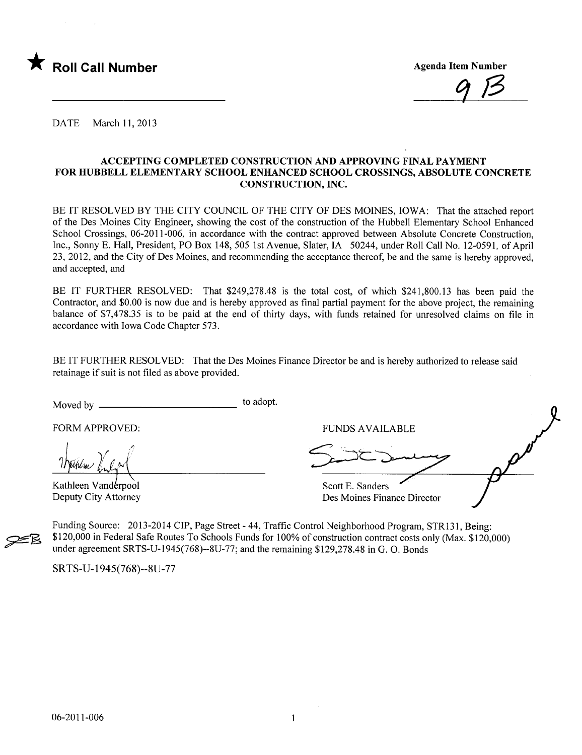

 $9/3$ 

DATE March 11, 2013

#### ACCEPTING COMPLETED CONSTRUCTION AND APPROVING FINAL PAYMENT FOR HUBBELL ELEMENTARY SCHOOL ENHANCED SCHOOL CROSSINGS, ABSOLUTE CONCRETE CONSTRUCTION, INC.

BE IT RESOLVED BY THE CITY COUNCIL OF THE CITY OF DES MOINES, IOWA: That the attached report of the Des Moines City Engineer, showing the cost of the construction of the Hubbell Elementary School Enhanced School Crossings, 06-2011-006, in accordance with the contract approved between Absolute Concrete Construction, Inc., Sonny E. Hall, President, PO Box 148, 505 1st Avenue, Slater, IA 50244, under Roll Call No. 12-0591, of April 23,2012, and the City of Des Moines, and recommending the acceptance thereof, be and the same is hereby approved, and accepted, and

BE IT FURTHER RESOLVED: That \$249,278.48 is the total cost, of which \$241,800.13 has been paid the Contractor, and \$0.00 is now due and is hereby approved as final partial payment for the above project, the remaining balance of \$7,478.35 is to be paid at the end of thirty days, with funds retained for unresolved claims on file in accordance with Iowa Code Chapter 573.

BE IT FURTHER RESOLVED: That the Des Moines Finance Director be and is hereby authorized to release said retainage if suit is not fied as above provided.

Moved by to adopt.

 $\bigcup_{i=1}^n$   $\bigvee_{i=1}^n$ *INutulum for La*<br>Kathleen Vanderpool

Deputy City Attorney

~

FORM APPROVED: FUNDS AVAILABLE

FUNDS AV Scott E. Sanders  $\boldsymbol{\mathcal{L}}$  $\mathcal{L}$ .

.

Des Moines Finance Director

Funding Source: 2013-2014 CIP, Page Street - 44, Traffic Control Neighborhood Program, STR131, Being: \$120,000 in Federal Safe Routes To Schools Funds for 100% of construction contract costs only (Max. \$120,000) under agreement SRTS-U-1945(768)--8U-77; and the remaining \$129,278.48 in G. O. Bonds

SRTS-U- 1 945(768)--8U-77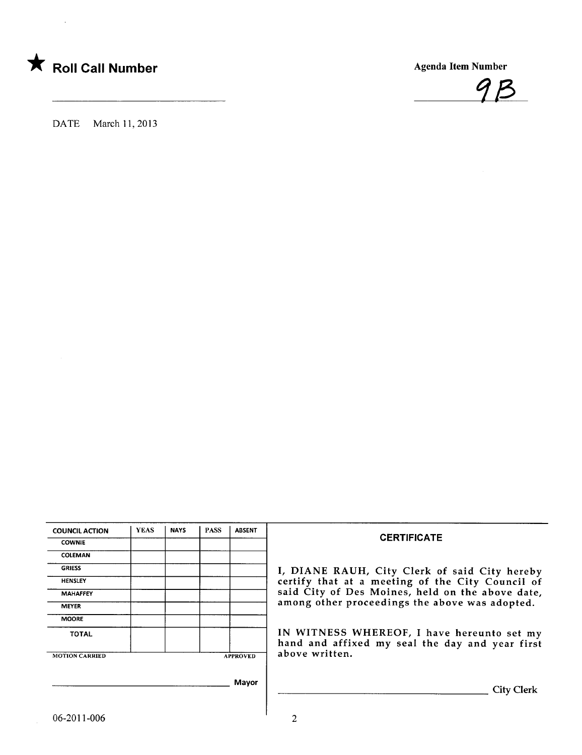

 $\mathcal{L}$ 



DATE March 11,2013

| <b>COUNCIL ACTION</b> | <b>YEAS</b> | <b>NAYS</b> | <b>PASS</b> | <b>ABSENT</b>   | <b>CERTIFICATE</b>                                                                            |
|-----------------------|-------------|-------------|-------------|-----------------|-----------------------------------------------------------------------------------------------|
| <b>COWNIE</b>         |             |             |             |                 |                                                                                               |
| COLEMAN               |             |             |             |                 |                                                                                               |
| <b>GRIESS</b>         |             |             |             |                 | I, DIANE RAUH, City Clerk of said City hereby                                                 |
| <b>HENSLEY</b>        |             |             |             |                 | certify that at a meeting of the City Council of                                              |
| <b>MAHAFFEY</b>       |             |             |             |                 | said City of Des Moines, held on the above date,                                              |
| <b>MEYER</b>          |             |             |             |                 | among other proceedings the above was adopted.                                                |
| <b>MOORE</b>          |             |             |             |                 |                                                                                               |
| <b>TOTAL</b>          |             |             |             |                 | IN WITNESS WHEREOF, I have hereunto set my<br>hand and affixed my seal the day and year first |
| <b>MOTION CARRIED</b> |             |             |             | <b>APPROVED</b> | above written.                                                                                |
|                       |             |             |             | Mayor           | City Clerk                                                                                    |
| 06-2011-006           |             |             |             |                 | റ                                                                                             |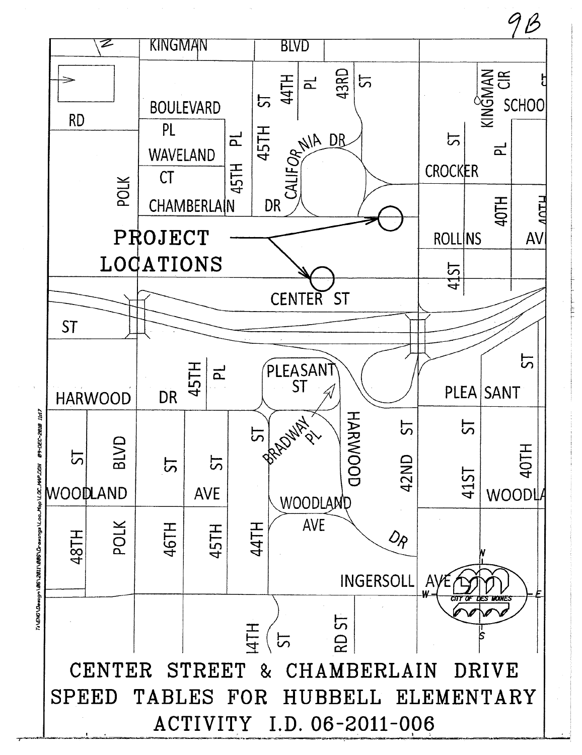

TI\ENO\Design\B6\28II\B8BS\Drawings\Loc\_Mop\LOC\_MAP.DGN

 $9B$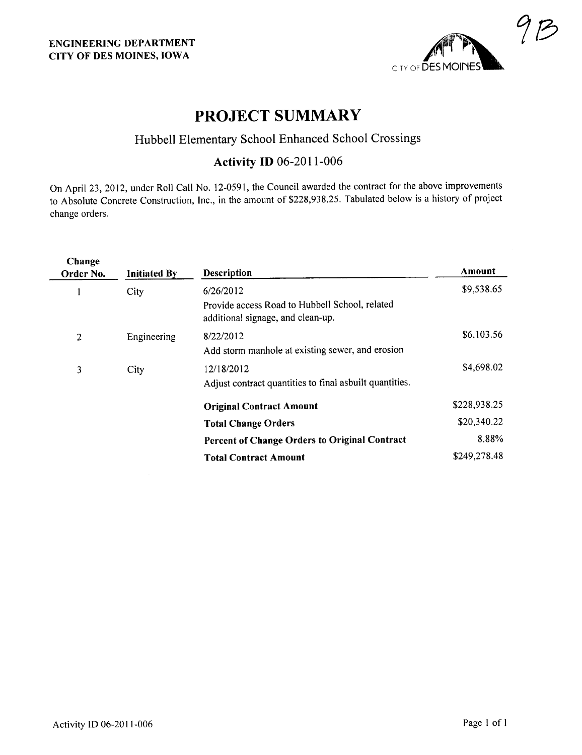

## PROJECT SUMMARY

## Hubbell Elementary School Enhanced School Crossings

### Activity ID 06-2011-006

On April 23, 2012, under Roll Call No. 12-0591, the Council awarded the contract for the above improvements to Absolute Concrete Construction, Inc., in the amount of \$228,938.25. Tabulated below is a history of project change orders.

| Change<br>Order No. | <b>Initiated By</b> | <b>Description</b>                                                                  | Amount       |
|---------------------|---------------------|-------------------------------------------------------------------------------------|--------------|
|                     | City                | 6/26/2012                                                                           | \$9,538.65   |
|                     |                     | Provide access Road to Hubbell School, related<br>additional signage, and clean-up. |              |
| 2                   | Engineering         | 8/22/2012                                                                           | \$6,103.56   |
|                     |                     | Add storm manhole at existing sewer, and erosion                                    |              |
| 3                   | City                | 12/18/2012                                                                          | \$4,698.02   |
|                     |                     | Adjust contract quantities to final asbuilt quantities.                             |              |
|                     |                     | <b>Original Contract Amount</b>                                                     | \$228,938.25 |
|                     |                     | <b>Total Change Orders</b>                                                          | \$20,340.22  |
|                     |                     | Percent of Change Orders to Original Contract                                       | 8.88%        |
|                     |                     | <b>Total Contract Amount</b>                                                        | \$249,278.48 |
|                     |                     |                                                                                     |              |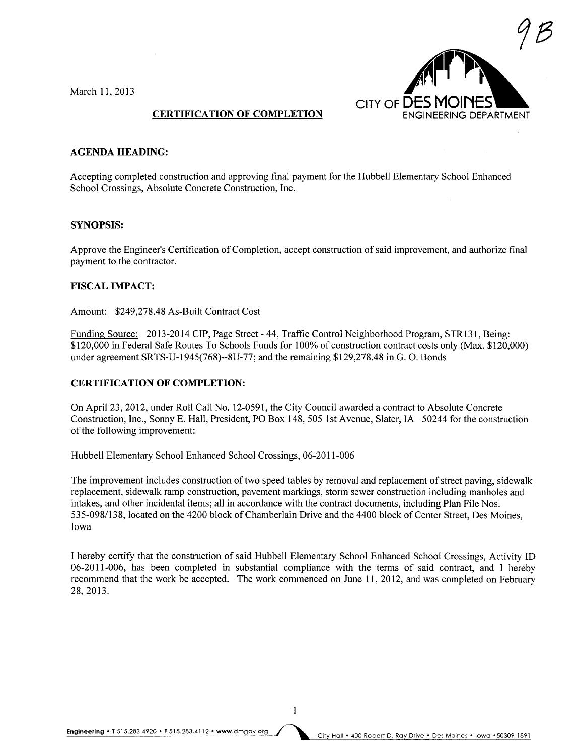March 11,2013



#### CERTIFICATION OF COMPLETION

#### AGENDA HEADING:

Accepting completed construction and approving final payment for the Hubbell Elementary School Enhanced School Crossings, Absolute Concrete Construction, Inc.

#### SYNOPSIS:

Approve the Engineer's Certification of Completion, accept construction of said improvement, and authorize final payment to the contractor.

#### FISCAL IMPACT:

Amount: \$249,278.48 As-Built Contract Cost

Funding Source: 2013-2014 CIP, Page Street - 44, Traffic Control Neighborhood Program, STR131, Being: \$120,000 in Federal Safe Routes To Schools Funds for 100% of construction contract costs only (Max. \$120,000) under agreement SRTS-U-1945(768)--8U-77; and the remaining \$129,278.48 in G. O. Bonds

#### CERTIFICATION OF COMPLETION:

On April 23, 2012, under Roll Call No. 12-0591, the City Council awarded a contract to Absolute Concrete Construction, Inc., Sonny E. Hall, President, PO Box 148, 505 1st Avenue, Slater, IA 50244 for the construction of the following improvement:

Hubbell Elementary School Enhanced School Crossings, 06-2011-006

The improvement includes construction of two speed tables by removal and replacement of street paving, sidewalk replacement, sidewalk ramp construction, pavement markings, storm sewer construction including manholes and intakes, and other incidental items; all in accordance with the contract documents, including Plan File Nos. 535-098/138, located on the 4200 block of Chamberlain Drive and the 4400 block of Center Street, Des Moines, Iowa

I hereby certify that the construction of said Hubbell Elementary School Enhanced School Crossings, Activity ID 06-20 11-006, has been completed in substantial compliance with the terms of said contract, and I hereby recommend that the work be accepted. The work commenced on June 11,2012, and was completed on February 28,2013.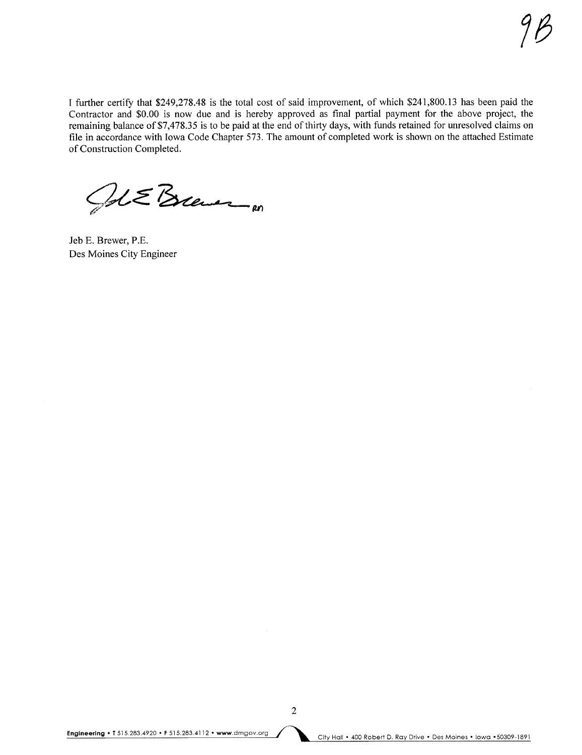I further certify that \$249,278.48 is the total cost of said improvement, of which \$241,800.13 has been paid the Contractor and \$0.00 is now due and is hereby approved as final partial payment for the above project, the remaining balance of \$7,478.35 is to be paid at the end of thirty days, with funds retained for unresolved claims on file in accordance with Iowa Code Chapter 573. The amount of completed work is shown on the attached Estimate of Construction Completed.

Jet Eleven m

Jeb E. Brewer, P.E. Des Moines City Engineer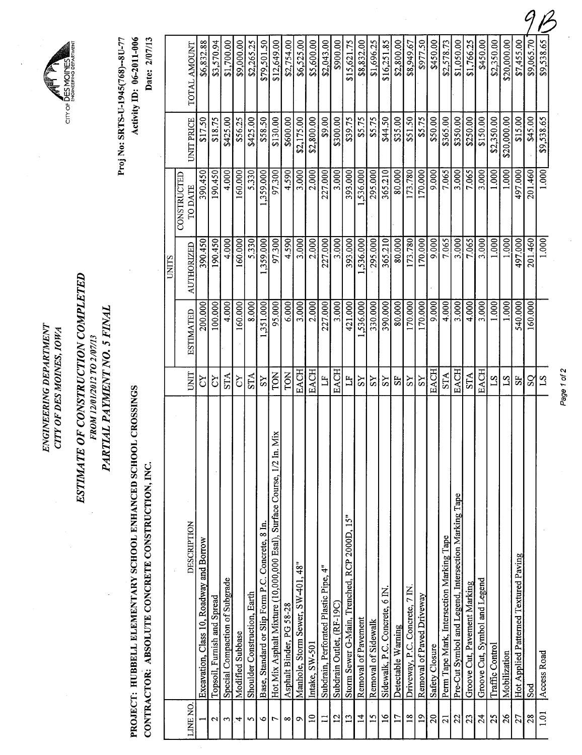ENGINEERING DEPARTMENT ENGINEERING DEPARTMENT CITY OF DES MOINES, IOWA CITY OF DES MOINES, IOWA

 $CITY$  of  $\overline{L}$ 

# ESTIMATE OF CONSTRUCTION COMPLETED ESTIMATE OF CONSTRUCTION COMPLETED FROM 12/01/2012 TO 2/07/13 FROM 12/01/2012 TO 2/07/3

PARTIAL PAYMENT NO. 5 FINAL PARTIAL PAYMENT NO. 5 FINAL

PROJECT: HUBBELL ELEMENTARY SCHOOL ENHANCED SCHOOL CROSSINGS PROJECT: HUBBELL ELEMENT ARY SCHOOL ENHANCED SCHOOL CROSSINGS CONTRACTOR: ABSOLUTE CONCRETE CONSTRUCTION, INC. CONTRACTOR: ABSOLUTE CONCRETE CONSTRUCTION, INC.

Date: 2/07/13 Proj No: SRTS-U-1945(768)--8U-77 Activity ID: 06-2011-006 Proj No: SRTS-U-1945(768)--8U-77 Activity ID: 06-2011-006

Date: 2/07/13

|              |                                      |                                          |                             |                                |                  |                              |                                                  |                                                                        |                          |                                   |                 |                                       |                           |                                              |                     |                     |                                |                    |                                |                           |                |                                           |                                                      |                              |                               |                 |              |                                       | 0             |             |             |
|--------------|--------------------------------------|------------------------------------------|-----------------------------|--------------------------------|------------------|------------------------------|--------------------------------------------------|------------------------------------------------------------------------|--------------------------|-----------------------------------|-----------------|---------------------------------------|---------------------------|----------------------------------------------|---------------------|---------------------|--------------------------------|--------------------|--------------------------------|---------------------------|----------------|-------------------------------------------|------------------------------------------------------|------------------------------|-------------------------------|-----------------|--------------|---------------------------------------|---------------|-------------|-------------|
|              | TOTAL AMOUNT                         | \$6,832.88                               | \$3,570.94                  | \$1,700.00                     | \$9,000.00       | \$2,265.25                   | \$79,501.50                                      | \$12,649.00                                                            | \$2,754.00               | \$6,525.00                        | \$5,600.00      | \$2,043.00                            | \$900.00                  | \$15,621.75                                  | \$8,832.00          | \$1,696.25          | \$16,251.85                    | \$2,800.00         | \$8,949.67                     | \$977.50                  | \$450.00       | \$2,578.73                                | \$1,050.00                                           | \$1,766.25                   | \$450.00                      | \$2,350.00      | \$20,000.00  | \$7,455.00                            | \$9,065.70    | \$9,538.65  |             |
|              | UNIT PRICE                           | \$17.50                                  | \$18.75                     | \$425.00                       | \$56.25          | \$425.00                     | \$58.50                                          | \$130.00                                                               | \$600.00                 | \$2,175.00                        | \$2,800.00      | \$9.00                                | \$300.00                  | \$39.75                                      | \$5.75              | \$5.75              | \$44.50                        | \$35.00            | \$51.50                        | \$5.75                    | \$50.00        | \$365.00                                  | \$350.00                                             | \$250.00                     | \$150.00                      | \$2,350.00      | \$20,000.00  | \$15.00                               | \$45.00       | \$9,538.65  |             |
|              | <b>CONSTRUCTED</b><br><b>TO DATE</b> | 390.450                                  | 190.450                     | 4.000                          | 160.000          | 5.330                        | 1,359.000                                        | 97.300                                                                 | 4.590                    | 3.000                             | 2.000           | 227.000                               | 3.000                     | 393.000                                      | 1,536.000           | 295.000             | 365.210                        | 80.000             | 173.780                        | 170.000                   | 9.000          | 7.065                                     | 3.000                                                | 7.065                        | 3.000                         | 1.000           | 1.000        | 497.000                               | 201.460       | 1.000       |             |
| <b>UNITS</b> | <b>AUTHORIZED</b>                    | 390.450                                  | 190.450                     | 4.000                          | 160.000          | 5.330                        | 1,359.000                                        | 97.300                                                                 | 4.590                    | 3.000                             | 2.000           | 227.000                               | 3.000                     | 393,000                                      | 1,536.000           | 295.000             | 365.210                        | 80.000             | 173.780                        | 170.000                   | 9.000          | 7.065                                     | 3.000                                                | 7.065                        | 3.000                         | 1.000           | 1.000        | 497.000                               | 201.460       | 1.000       |             |
|              | <b>ESTIMATED</b>                     | 200.000                                  | 100.000                     | 4.000                          | 160.000          | 8.000                        | 351,000                                          | 95.000                                                                 | 6.000                    | 3.000                             | 2.000           | 227.000                               | 3.000 <sub>1</sub>        | 421.000                                      | ,536.000            | 330.000             | 390.000                        | 80.000             | 170.000                        | 170.000                   | 9.000          | 4.000                                     | 3.000                                                | 4.000                        | 3.000                         | 1.000           | 1.000        | 540.000                               | 160.000       |             |             |
|              | UNIT                                 | č                                        | 5                           | <b>STA</b>                     | čY               | <b>STA</b>                   | SS                                               | TON                                                                    | <b>TON</b>               | <b>EACH</b>                       | <b>EACH</b>     | $\Xi$                                 | <b>EACH</b>               | $\mathbf{L}$                                 | SS                  | $\overline{S}$      | SS                             | 55                 | ΧS                             | SS                        | <b>EACH</b>    | <b>STA</b>                                | EACH                                                 | <b>STA</b>                   | <b>EACH</b>                   | 51              | $\mathbb{Z}$ | 5 <sub>1</sub>                        | $\mathcal{S}$ | $\Sigma$    | Page 1 of 2 |
|              | DESCRIPTION                          | Excavation, Class 10, Roadway and Borrow | Topsoil, Furnish and Spread | Special Compaction of Subgrade | Modified Subbase | Shoulder Construction, Earth | Base, Standard or Slip Form P.C. Concrete, 8 In. | Hot Mix Asphalt Mixture (10,000,000 Esal), Surface Course, 1/2 In. Mix | Asphalt Binder, PG 58-28 | Manhole, Storm Sewer, SW-401, 48" | Intake, SW-501  | Subdrain, Perforated Plastic Pipe, 4" | Subdrain Outlet, (RF-19C) | Storm Sewer G-Main, Trenched, RCP 2000D, 15" | Removal of Pavement | Removal of Sidewalk | Sidewalk, P.C. Concrete, 6 IN. | Detectable Warning | Driveway, P.C. Concrete, 7 IN. | Removal of Paved Driveway | Safety Closure | Perm Tape Mark, Intersection Marking Tape | Pre-Cut Symbol and Legend, Intersection Marking Tape | Groove Cut, Pavement Marking | Groove Cut, Symbol and Legend | Traffic Control | Mobilization | Hot Applied Patterned Textured Paving | Sod           | Access Road |             |
|              | LINE NO.                             |                                          | $\mathbf{\mathcal{L}}$      | $\mathbf{\hat{z}}$             | 4                | S                            | ৩                                                | ٣                                                                      | ∞                        | $\sigma$                          | $\overline{10}$ | $\mathbf{I}$                          | 12                        | $\mathbf{L}$                                 | $\overline{1}$      | $\overline{15}$     | $\frac{6}{1}$                  | $\overline{17}$    | $\frac{8}{16}$                 | $\overline{19}$           | $\overline{c}$ | $\overline{c}$                            | $\mathfrak{Z}$                                       | 23                           | 24                            | 25              | 26           | 27                                    | 28            | 1.01        |             |